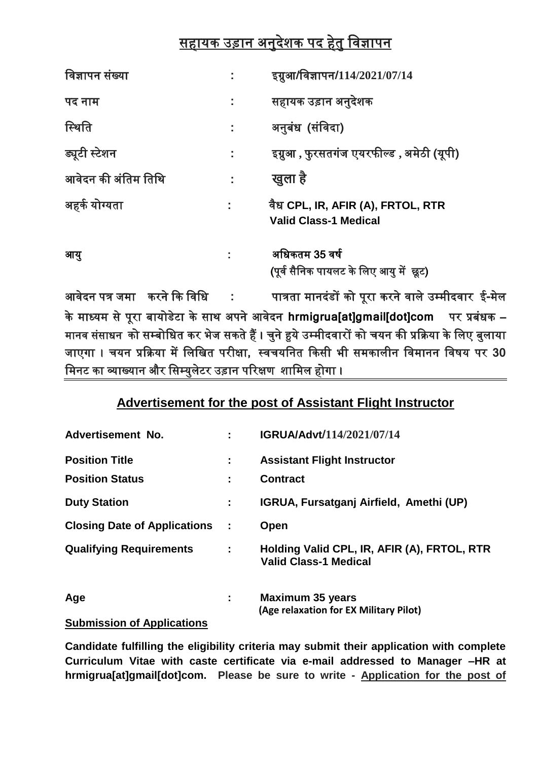## सहायक उड़ान अनुदेशक पद हेतु विज्ञापन

| विज्ञापन संख्या     |    | इग्नुआ/विज्ञापन/114/2021/07/14                                    |
|---------------------|----|-------------------------------------------------------------------|
| पद नाम              | t, | सहायक उड़ान अनुदेशक                                               |
| स्थिति              | t, | अनुबंध (संविदा)                                                   |
| ड्यूटी स्टेशन       | ÷. | इग्नुआ , फुरसतगंज एयरफील्ड , अमेठी (यूपी)                         |
| आवेदन की अंतिम तिथि |    | खुला है                                                           |
| अहर्क योग्यता       |    | वैध CPL, IR, AFIR (A), FRTOL, RTR<br><b>Valid Class-1 Medical</b> |
| आयु                 |    | अधिकतम 35 वर्ष<br>(पूर्व सैनिक पायलट के लिए आयु में छूट)          |

आिेदन पत्र जमा करने कक विवध **:** पात्रता मानदंडों को पूरा करने िाले उम्मीदिार ई**-**मेल के माध्यम से पूरा बायोडेटा के साि अपने आिेदन **hrmigrua[at]gmail[dot]com** पर प्रबंधक – मानव संसाधन को सम्बोधित कर भेज सकते हैं । चुने हुये उम्मीदवारों को चयन की प्रक्रिया के लिए बुलाया जाएगा । चयन प्रकिया में वलवित परीक्षा**,** थिचयवनत ककसी भी समकालीन विमानन विर्य पर **30**  मिनट का व्याख्यान और सिम्युलेटर उड़ान परिक्षण शामिल होगा ।

## **Advertisement for the post of Assistant Flight Instructor**

| Advertisement No.                   |   | IGRUA/Advt/114/2021/07/14                                                   |
|-------------------------------------|---|-----------------------------------------------------------------------------|
| <b>Position Title</b>               | ÷ | <b>Assistant Flight Instructor</b>                                          |
| <b>Position Status</b>              |   | <b>Contract</b>                                                             |
| <b>Duty Station</b>                 | ÷ | IGRUA, Fursatganj Airfield, Amethi (UP)                                     |
| <b>Closing Date of Applications</b> | ÷ | Open                                                                        |
| <b>Qualifying Requirements</b>      | ÷ | Holding Valid CPL, IR, AFIR (A), FRTOL, RTR<br><b>Valid Class-1 Medical</b> |
| Age                                 | ÷ | <b>Maximum 35 years</b><br>(Age relaxation for EX Military Pilot)           |
| <b>Submission of Applications</b>   |   |                                                                             |

**Candidate fulfilling the eligibility criteria may submit their application with complete Curriculum Vitae with caste certificate via e-mail addressed to Manager –HR at hrmigrua[at]gmail[dot]com. Please be sure to write - Application for the post of**